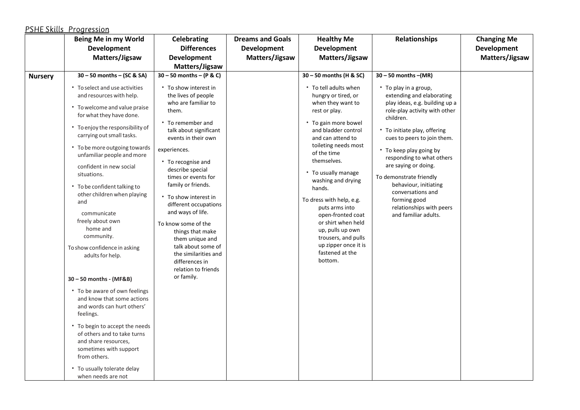## PSHE Skills Progression

|                | Being Me in my World                                                                                                                                                                                                                                                                                                                                                                                                                                                                                                                                                                                                                                                                                                                                                                                                  | Celebrating                                                                                                                                                                                                                                                                                                                                                                                                                                                                                         | <b>Dreams and Goals</b> | <b>Healthy Me</b>                                                                                                                                                                                                                                                                                                                                                                                                                                             | Relationships                                                                                                                                                                                                                                                                                                                                                                                                                  | <b>Changing Me</b> |
|----------------|-----------------------------------------------------------------------------------------------------------------------------------------------------------------------------------------------------------------------------------------------------------------------------------------------------------------------------------------------------------------------------------------------------------------------------------------------------------------------------------------------------------------------------------------------------------------------------------------------------------------------------------------------------------------------------------------------------------------------------------------------------------------------------------------------------------------------|-----------------------------------------------------------------------------------------------------------------------------------------------------------------------------------------------------------------------------------------------------------------------------------------------------------------------------------------------------------------------------------------------------------------------------------------------------------------------------------------------------|-------------------------|---------------------------------------------------------------------------------------------------------------------------------------------------------------------------------------------------------------------------------------------------------------------------------------------------------------------------------------------------------------------------------------------------------------------------------------------------------------|--------------------------------------------------------------------------------------------------------------------------------------------------------------------------------------------------------------------------------------------------------------------------------------------------------------------------------------------------------------------------------------------------------------------------------|--------------------|
|                | <b>Development</b>                                                                                                                                                                                                                                                                                                                                                                                                                                                                                                                                                                                                                                                                                                                                                                                                    | <b>Differences</b>                                                                                                                                                                                                                                                                                                                                                                                                                                                                                  | <b>Development</b>      | <b>Development</b>                                                                                                                                                                                                                                                                                                                                                                                                                                            |                                                                                                                                                                                                                                                                                                                                                                                                                                | <b>Development</b> |
|                | Matters/Jigsaw                                                                                                                                                                                                                                                                                                                                                                                                                                                                                                                                                                                                                                                                                                                                                                                                        | <b>Development</b>                                                                                                                                                                                                                                                                                                                                                                                                                                                                                  | Matters/Jigsaw          | Matters/Jigsaw                                                                                                                                                                                                                                                                                                                                                                                                                                                |                                                                                                                                                                                                                                                                                                                                                                                                                                | Matters/Jigsaw     |
|                |                                                                                                                                                                                                                                                                                                                                                                                                                                                                                                                                                                                                                                                                                                                                                                                                                       | Matters/Jigsaw                                                                                                                                                                                                                                                                                                                                                                                                                                                                                      |                         |                                                                                                                                                                                                                                                                                                                                                                                                                                                               |                                                                                                                                                                                                                                                                                                                                                                                                                                |                    |
| <b>Nursery</b> | $30 - 50$ months $-$ (SC & SA)                                                                                                                                                                                                                                                                                                                                                                                                                                                                                                                                                                                                                                                                                                                                                                                        | $30 - 50$ months - (P & C)                                                                                                                                                                                                                                                                                                                                                                                                                                                                          |                         | 30 - 50 months (H & SC)                                                                                                                                                                                                                                                                                                                                                                                                                                       | $30 - 50$ months $-(MR)$                                                                                                                                                                                                                                                                                                                                                                                                       |                    |
|                | • To select and use activities<br>and resources with help.<br>• To welcome and value praise<br>for what they have done.<br>• To enjoy the responsibility of<br>carrying out small tasks.<br>• To be more outgoing towards<br>unfamiliar people and more<br>confident in new social<br>situations.<br>• To be confident talking to<br>other children when playing<br>and<br>communicate<br>freely about own<br>home and<br>community.<br>To show confidence in asking<br>adults for help.<br>30 - 50 months - (MF&B)<br>• To be aware of own feelings<br>and know that some actions<br>and words can hurt others'<br>feelings.<br>• To begin to accept the needs<br>of others and to take turns<br>and share resources,<br>sometimes with support<br>from others.<br>• To usually tolerate delay<br>when needs are not | • To show interest in<br>the lives of people<br>who are familiar to<br>them.<br>• To remember and<br>talk about significant<br>events in their own<br>experiences.<br>• To recognise and<br>describe special<br>times or events for<br>family or friends.<br>* To show interest in<br>different occupations<br>and ways of life.<br>To know some of the<br>things that make<br>them unique and<br>talk about some of<br>the similarities and<br>differences in<br>relation to friends<br>or family. |                         | • To tell adults when<br>hungry or tired, or<br>when they want to<br>rest or play.<br>• To gain more bowel<br>and bladder control<br>and can attend to<br>toileting needs most<br>of the time<br>themselves.<br>• To usually manage<br>washing and drying<br>hands.<br>To dress with help, e.g.<br>puts arms into<br>open-fronted coat<br>or shirt when held<br>up, pulls up own<br>trousers, and pulls<br>up zipper once it is<br>fastened at the<br>bottom. | • To play in a group,<br>extending and elaborating<br>play ideas, e.g. building up a<br>role-play activity with other<br>children.<br>* To initiate play, offering<br>cues to peers to join them.<br>* To keep play going by<br>responding to what others<br>are saying or doing.<br>To demonstrate friendly<br>behaviour, initiating<br>conversations and<br>forming good<br>relationships with peers<br>and familiar adults. |                    |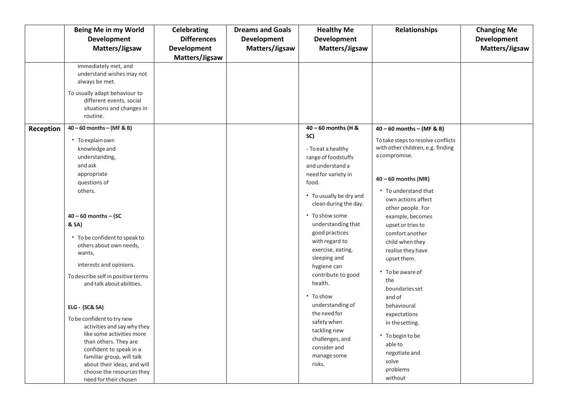|           | <b>Being Me in my World</b>                              | Celebrating        | <b>Dreams and Goals</b> | <b>Healthy Me</b>       | <b>Relationships</b>                                                    | <b>Changing Me</b> |
|-----------|----------------------------------------------------------|--------------------|-------------------------|-------------------------|-------------------------------------------------------------------------|--------------------|
|           | <b>Development</b>                                       | <b>Differences</b> | Development             | Development             |                                                                         | <b>Development</b> |
|           | Matters/Jigsaw                                           | Development        | Matters/Jigsaw          | Matters/Jigsaw          |                                                                         | Matters/Jigsaw     |
|           |                                                          | Matters/Jigsaw     |                         |                         |                                                                         |                    |
|           | immediately met, and                                     |                    |                         |                         |                                                                         |                    |
|           | understand wishes may not                                |                    |                         |                         |                                                                         |                    |
|           | always be met.                                           |                    |                         |                         |                                                                         |                    |
|           | To usually adapt behaviour to                            |                    |                         |                         |                                                                         |                    |
|           | different events, social                                 |                    |                         |                         |                                                                         |                    |
|           | situations and changes in                                |                    |                         |                         |                                                                         |                    |
|           | routine.                                                 |                    |                         |                         |                                                                         |                    |
| Reception | $40 - 60$ months $-$ (MF & B)                            |                    |                         | 40 - 60 months (H &     | $40 - 60$ months $-$ (MF & B)                                           |                    |
|           |                                                          |                    |                         | SC)                     |                                                                         |                    |
|           | • To explain own                                         |                    |                         |                         | To take steps to resolve conflicts<br>with other children, e.g. finding |                    |
|           | knowledge and                                            |                    |                         | - To eat a healthy      | a compromise.                                                           |                    |
|           | understanding,                                           |                    |                         | range of foodstuffs     |                                                                         |                    |
|           | and ask                                                  |                    |                         | and understand a        |                                                                         |                    |
|           | appropriate                                              |                    |                         | need for variety in     | $40 - 60$ months (MR)                                                   |                    |
|           | questions of                                             |                    |                         | food.                   |                                                                         |                    |
|           | others.                                                  |                    |                         | • To usually be dry and | • To understand that                                                    |                    |
|           |                                                          |                    |                         | clean during the day.   | own actions affect                                                      |                    |
|           |                                                          |                    |                         |                         | other people. For                                                       |                    |
|           | $40 - 60$ months $-$ (SC                                 |                    |                         | • To show some          | example, becomes                                                        |                    |
|           | & SA)                                                    |                    |                         | understanding that      | upset or tries to                                                       |                    |
|           | • To be confident to speak to                            |                    |                         | good practices          | comfort another                                                         |                    |
|           | others about own needs,                                  |                    |                         | with regard to          | child when they                                                         |                    |
|           | wants,                                                   |                    |                         | exercise, eating,       | realise they have                                                       |                    |
|           |                                                          |                    |                         | sleeping and            | upset them.                                                             |                    |
|           | interests and opinions.                                  |                    |                         | hygiene can             | • To be aware of                                                        |                    |
|           | To describe self in positive terms                       |                    |                         | contribute to good      | the                                                                     |                    |
|           | and talk about abilities.                                |                    |                         | health.                 | boundaries set                                                          |                    |
|           |                                                          |                    |                         | • To show               | and of                                                                  |                    |
|           |                                                          |                    |                         | understanding of        | behavioural                                                             |                    |
|           | <b>ELG - (SC&amp; SA)</b>                                |                    |                         | the need for            | expectations                                                            |                    |
|           | To be confident to try new                               |                    |                         | safety when             | in the setting.                                                         |                    |
|           | activities and say why they                              |                    |                         | tackling new            |                                                                         |                    |
|           | like some activities more                                |                    |                         | challenges, and         | • To begin to be                                                        |                    |
|           | than others. They are                                    |                    |                         | consider and            | able to                                                                 |                    |
|           | confident to speak in a                                  |                    |                         |                         | negotiate and                                                           |                    |
|           | familiar group, will talk                                |                    |                         | manage some             | solve                                                                   |                    |
|           | about their ideas, and will<br>choose the resources they |                    |                         | risks.                  | problems                                                                |                    |
|           | need for their chosen                                    |                    |                         |                         | without                                                                 |                    |
|           |                                                          |                    |                         |                         |                                                                         |                    |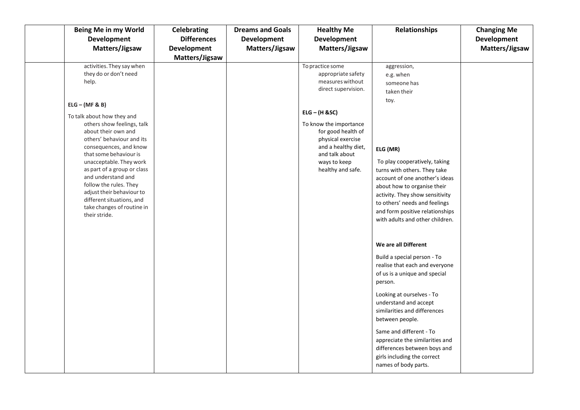| Being Me in my World                              | Celebrating        | <b>Dreams and Goals</b> | <b>Healthy Me</b>      | <b>Relationships</b>                                             | <b>Changing Me</b> |
|---------------------------------------------------|--------------------|-------------------------|------------------------|------------------------------------------------------------------|--------------------|
| <b>Development</b>                                | <b>Differences</b> | <b>Development</b>      | <b>Development</b>     |                                                                  | <b>Development</b> |
| Matters/Jigsaw                                    | <b>Development</b> | Matters/Jigsaw          | Matters/Jigsaw         |                                                                  | Matters/Jigsaw     |
|                                                   | Matters/Jigsaw     |                         |                        |                                                                  |                    |
| activities. They say when                         |                    |                         | To practice some       | aggression,                                                      |                    |
| they do or don't need                             |                    |                         | appropriate safety     | e.g. when                                                        |                    |
| help.                                             |                    |                         | measures without       | someone has                                                      |                    |
|                                                   |                    |                         | direct supervision.    | taken their                                                      |                    |
| $ELG - (MF & B)$                                  |                    |                         |                        | toy.                                                             |                    |
|                                                   |                    |                         | $ELG - (H & SC)$       |                                                                  |                    |
| To talk about how they and                        |                    |                         | To know the importance |                                                                  |                    |
| others show feelings, talk<br>about their own and |                    |                         | for good health of     |                                                                  |                    |
| others' behaviour and its                         |                    |                         | physical exercise      |                                                                  |                    |
| consequences, and know                            |                    |                         | and a healthy diet,    | ELG (MR)                                                         |                    |
| that some behaviour is                            |                    |                         | and talk about         |                                                                  |                    |
| unacceptable. They work                           |                    |                         | ways to keep           | To play cooperatively, taking                                    |                    |
| as part of a group or class                       |                    |                         | healthy and safe.      | turns with others. They take                                     |                    |
| and understand and<br>follow the rules. They      |                    |                         |                        | account of one another's ideas                                   |                    |
| adjust their behaviour to                         |                    |                         |                        | about how to organise their                                      |                    |
| different situations, and                         |                    |                         |                        | activity. They show sensitivity<br>to others' needs and feelings |                    |
| take changes of routine in                        |                    |                         |                        | and form positive relationships                                  |                    |
| their stride.                                     |                    |                         |                        | with adults and other children.                                  |                    |
|                                                   |                    |                         |                        |                                                                  |                    |
|                                                   |                    |                         |                        |                                                                  |                    |
|                                                   |                    |                         |                        | We are all Different                                             |                    |
|                                                   |                    |                         |                        | Build a special person - To                                      |                    |
|                                                   |                    |                         |                        | realise that each and everyone                                   |                    |
|                                                   |                    |                         |                        | of us is a unique and special                                    |                    |
|                                                   |                    |                         |                        | person.                                                          |                    |
|                                                   |                    |                         |                        | Looking at ourselves - To                                        |                    |
|                                                   |                    |                         |                        | understand and accept                                            |                    |
|                                                   |                    |                         |                        | similarities and differences                                     |                    |
|                                                   |                    |                         |                        | between people.                                                  |                    |
|                                                   |                    |                         |                        | Same and different - To                                          |                    |
|                                                   |                    |                         |                        | appreciate the similarities and                                  |                    |
|                                                   |                    |                         |                        | differences between boys and                                     |                    |
|                                                   |                    |                         |                        | girls including the correct                                      |                    |
|                                                   |                    |                         |                        | names of body parts.                                             |                    |
|                                                   |                    |                         |                        |                                                                  |                    |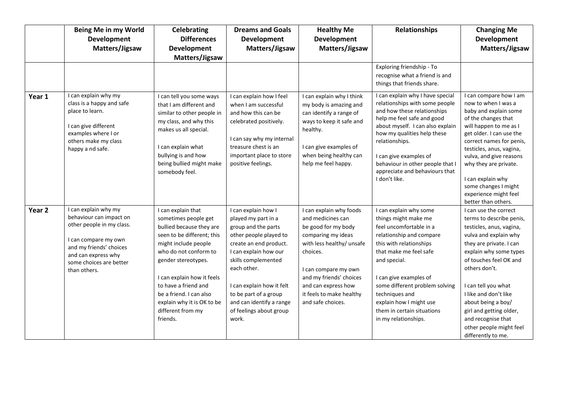|        | Being Me in my World<br><b>Development</b><br>Matters/Jigsaw                                                                                                                                      | <b>Celebrating</b><br><b>Differences</b><br><b>Development</b><br>Matters/Jigsaw                                                                                                                                                                                                                                             | <b>Dreams and Goals</b><br><b>Development</b><br>Matters/Jigsaw                                                                                                                                                                                                                                            | <b>Healthy Me</b><br><b>Development</b><br>Matters/Jigsaw                                                                                                                                                                                                     | <b>Relationships</b>                                                                                                                                                                                                                                                                                                                      | <b>Changing Me</b><br><b>Development</b><br>Matters/Jigsaw                                                                                                                                                                                                                                                                                                                     |
|--------|---------------------------------------------------------------------------------------------------------------------------------------------------------------------------------------------------|------------------------------------------------------------------------------------------------------------------------------------------------------------------------------------------------------------------------------------------------------------------------------------------------------------------------------|------------------------------------------------------------------------------------------------------------------------------------------------------------------------------------------------------------------------------------------------------------------------------------------------------------|---------------------------------------------------------------------------------------------------------------------------------------------------------------------------------------------------------------------------------------------------------------|-------------------------------------------------------------------------------------------------------------------------------------------------------------------------------------------------------------------------------------------------------------------------------------------------------------------------------------------|--------------------------------------------------------------------------------------------------------------------------------------------------------------------------------------------------------------------------------------------------------------------------------------------------------------------------------------------------------------------------------|
|        |                                                                                                                                                                                                   |                                                                                                                                                                                                                                                                                                                              |                                                                                                                                                                                                                                                                                                            |                                                                                                                                                                                                                                                               | Exploring friendship - To<br>recognise what a friend is and<br>things that friends share.                                                                                                                                                                                                                                                 |                                                                                                                                                                                                                                                                                                                                                                                |
| Year 1 | I can explain why my<br>class is a happy and safe<br>place to learn.<br>I can give different<br>examples where I or<br>others make my class<br>happy a nd safe.                                   | I can tell you some ways<br>that I am different and<br>similar to other people in<br>my class, and why this<br>makes us all special.<br>I can explain what<br>bullying is and how<br>being bullied might make<br>somebody feel.                                                                                              | I can explain how I feel<br>when I am successful<br>and how this can be<br>celebrated positively.<br>I can say why my internal<br>treasure chest is an<br>important place to store<br>positive feelings.                                                                                                   | I can explain why I think<br>my body is amazing and<br>can identify a range of<br>ways to keep it safe and<br>healthy.<br>I can give examples of<br>when being healthy can<br>help me feel happy.                                                             | I can explain why I have special<br>relationships with some people<br>and how these relationships<br>help me feel safe and good<br>about myself. I can also explain<br>how my qualities help these<br>relationships.<br>I can give examples of<br>behaviour in other people that I<br>appreciate and behaviours that<br>I don't like.     | I can compare how I am<br>now to when I was a<br>baby and explain some<br>of the changes that<br>will happen to me as I<br>get older. I can use the<br>correct names for penis,<br>testicles, anus, vagina,<br>vulva, and give reasons<br>why they are private.<br>I can explain why<br>some changes I might<br>experience might feel<br>better than others.                   |
| Year 2 | I can explain why my<br>behaviour can impact on<br>other people in my class.<br>I can compare my own<br>and my friends' choices<br>and can express why<br>some choices are better<br>than others. | I can explain that<br>sometimes people get<br>bullied because they are<br>seen to be different; this<br>might include people<br>who do not conform to<br>gender stereotypes.<br>I can explain how it feels<br>to have a friend and<br>be a friend. I can also<br>explain why it is OK to be<br>different from my<br>friends. | I can explain how I<br>played my part in a<br>group and the parts<br>other people played to<br>create an end product.<br>I can explain how our<br>skills complemented<br>each other.<br>I can explain how it felt<br>to be part of a group<br>and can identify a range<br>of feelings about group<br>work. | I can explain why foods<br>and medicines can<br>be good for my body<br>comparing my ideas<br>with less healthy/ unsafe<br>choices.<br>I can compare my own<br>and my friends' choices<br>and can express how<br>it feels to make healthy<br>and safe choices. | I can explain why some<br>things might make me<br>feel uncomfortable in a<br>relationship and compare<br>this with relationships<br>that make me feel safe<br>and special.<br>I can give examples of<br>some different problem solving<br>techniques and<br>explain how I might use<br>them in certain situations<br>in my relationships. | I can use the correct<br>terms to describe penis,<br>testicles, anus, vagina,<br>vulva and explain why<br>they are private. I can<br>explain why some types<br>of touches feel OK and<br>others don't.<br>I can tell you what<br>I like and don't like<br>about being a boy/<br>girl and getting older,<br>and recognise that<br>other people might feel<br>differently to me. |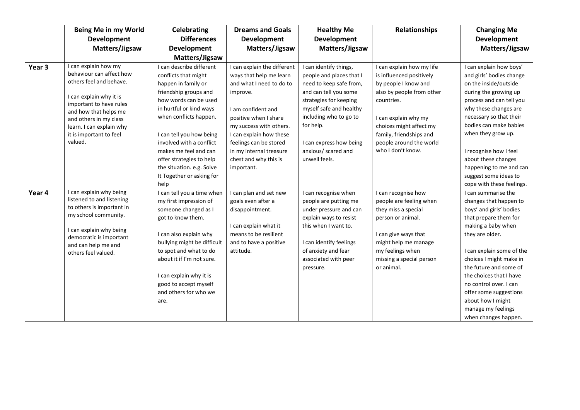|                   | Being Me in my World                                                                                                                                                                                                                                   | <b>Celebrating</b>                                                                                                                                                                                                                                                                                                                                    | <b>Dreams and Goals</b>                                                                                                                                                                                                                                                                         | <b>Healthy Me</b>                                                                                                                                                                                                                                                     | <b>Relationships</b>                                                                                                                                                                                                                                   | <b>Changing Me</b>                                                                                                                                                                                                                                                                                                                                                                                          |
|-------------------|--------------------------------------------------------------------------------------------------------------------------------------------------------------------------------------------------------------------------------------------------------|-------------------------------------------------------------------------------------------------------------------------------------------------------------------------------------------------------------------------------------------------------------------------------------------------------------------------------------------------------|-------------------------------------------------------------------------------------------------------------------------------------------------------------------------------------------------------------------------------------------------------------------------------------------------|-----------------------------------------------------------------------------------------------------------------------------------------------------------------------------------------------------------------------------------------------------------------------|--------------------------------------------------------------------------------------------------------------------------------------------------------------------------------------------------------------------------------------------------------|-------------------------------------------------------------------------------------------------------------------------------------------------------------------------------------------------------------------------------------------------------------------------------------------------------------------------------------------------------------------------------------------------------------|
|                   | <b>Development</b>                                                                                                                                                                                                                                     | <b>Differences</b>                                                                                                                                                                                                                                                                                                                                    | Development                                                                                                                                                                                                                                                                                     | <b>Development</b>                                                                                                                                                                                                                                                    |                                                                                                                                                                                                                                                        | <b>Development</b>                                                                                                                                                                                                                                                                                                                                                                                          |
|                   | Matters/Jigsaw                                                                                                                                                                                                                                         | <b>Development</b>                                                                                                                                                                                                                                                                                                                                    | Matters/Jigsaw                                                                                                                                                                                                                                                                                  | Matters/Jigsaw                                                                                                                                                                                                                                                        |                                                                                                                                                                                                                                                        | Matters/Jigsaw                                                                                                                                                                                                                                                                                                                                                                                              |
|                   |                                                                                                                                                                                                                                                        | Matters/Jigsaw                                                                                                                                                                                                                                                                                                                                        |                                                                                                                                                                                                                                                                                                 |                                                                                                                                                                                                                                                                       |                                                                                                                                                                                                                                                        |                                                                                                                                                                                                                                                                                                                                                                                                             |
| Year <sub>3</sub> | I can explain how my<br>behaviour can affect how<br>others feel and behave.<br>I can explain why it is<br>important to have rules<br>and how that helps me<br>and others in my class<br>learn. I can explain why<br>it is important to feel<br>valued. | I can describe different<br>conflicts that might<br>happen in family or<br>friendship groups and<br>how words can be used<br>in hurtful or kind ways<br>when conflicts happen.<br>I can tell you how being<br>involved with a conflict<br>makes me feel and can<br>offer strategies to help<br>the situation. e.g. Solve<br>It Together or asking for | I can explain the different<br>ways that help me learn<br>and what I need to do to<br>improve.<br>I am confident and<br>positive when I share<br>my success with others.<br>I can explain how these<br>feelings can be stored<br>in my internal treasure<br>chest and why this is<br>important. | I can identify things,<br>people and places that I<br>need to keep safe from,<br>and can tell you some<br>strategies for keeping<br>myself safe and healthy<br>including who to go to<br>for help.<br>I can express how being<br>anxious/ scared and<br>unwell feels. | I can explain how my life<br>is influenced positively<br>by people I know and<br>also by people from other<br>countries.<br>I can explain why my<br>choices might affect my<br>family, friendships and<br>people around the world<br>who I don't know. | I can explain how boys'<br>and girls' bodies change<br>on the inside/outside<br>during the growing up<br>process and can tell you<br>why these changes are<br>necessary so that their<br>bodies can make babies<br>when they grow up.<br>I recognise how I feel<br>about these changes<br>happening to me and can<br>suggest some ideas to                                                                  |
| Year 4            | can explain why being<br>listened to and listening<br>to others is important in<br>my school community.<br>can explain why being<br>democratic is important<br>and can help me and<br>others feel valued.                                              | help<br>I can tell you a time when<br>my first impression of<br>someone changed as I<br>got to know them.<br>I can also explain why<br>bullying might be difficult<br>to spot and what to do<br>about it if I'm not sure.<br>I can explain why it is<br>good to accept myself<br>and others for who we<br>are.                                        | I can plan and set new<br>goals even after a<br>disappointment.<br>I can explain what it<br>means to be resilient<br>and to have a positive<br>attitude.                                                                                                                                        | I can recognise when<br>people are putting me<br>under pressure and can<br>explain ways to resist<br>this when I want to.<br>I can identify feelings<br>of anxiety and fear<br>associated with peer<br>pressure.                                                      | I can recognise how<br>people are feeling when<br>they miss a special<br>person or animal.<br>I can give ways that<br>might help me manage<br>my feelings when<br>missing a special person<br>or animal.                                               | cope with these feelings.<br>I can summarise the<br>changes that happen to<br>boys' and girls' bodies<br>that prepare them for<br>making a baby when<br>they are older.<br>I can explain some of the<br>choices I might make in<br>the future and some of<br>the choices that I have<br>no control over. I can<br>offer some suggestions<br>about how I might<br>manage my feelings<br>when changes happen. |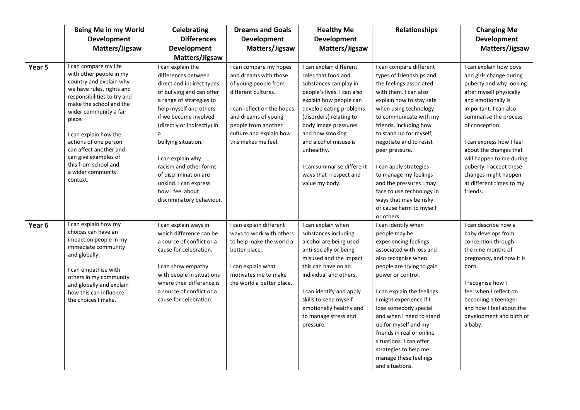|        | Being Me in my World                                                                                                                                                                                                                                                                                                                                                | <b>Celebrating</b>                                                                                                                                                                                                                                                                                                                                                                             | <b>Dreams and Goals</b>                                                                                                                                                                                                      | <b>Healthy Me</b>                                                                                                                                                                                                                                                                                                                                  | <b>Relationships</b>                                                                                                                                                                                                                                                                                                                                                                                                                                     | <b>Changing Me</b>                                                                                                                                                                                                                                                                                                                                                             |
|--------|---------------------------------------------------------------------------------------------------------------------------------------------------------------------------------------------------------------------------------------------------------------------------------------------------------------------------------------------------------------------|------------------------------------------------------------------------------------------------------------------------------------------------------------------------------------------------------------------------------------------------------------------------------------------------------------------------------------------------------------------------------------------------|------------------------------------------------------------------------------------------------------------------------------------------------------------------------------------------------------------------------------|----------------------------------------------------------------------------------------------------------------------------------------------------------------------------------------------------------------------------------------------------------------------------------------------------------------------------------------------------|----------------------------------------------------------------------------------------------------------------------------------------------------------------------------------------------------------------------------------------------------------------------------------------------------------------------------------------------------------------------------------------------------------------------------------------------------------|--------------------------------------------------------------------------------------------------------------------------------------------------------------------------------------------------------------------------------------------------------------------------------------------------------------------------------------------------------------------------------|
|        | <b>Development</b>                                                                                                                                                                                                                                                                                                                                                  | <b>Differences</b>                                                                                                                                                                                                                                                                                                                                                                             | <b>Development</b>                                                                                                                                                                                                           | <b>Development</b>                                                                                                                                                                                                                                                                                                                                 |                                                                                                                                                                                                                                                                                                                                                                                                                                                          | <b>Development</b>                                                                                                                                                                                                                                                                                                                                                             |
|        | Matters/Jigsaw                                                                                                                                                                                                                                                                                                                                                      | <b>Development</b>                                                                                                                                                                                                                                                                                                                                                                             | Matters/Jigsaw                                                                                                                                                                                                               | Matters/Jigsaw                                                                                                                                                                                                                                                                                                                                     |                                                                                                                                                                                                                                                                                                                                                                                                                                                          | Matters/Jigsaw                                                                                                                                                                                                                                                                                                                                                                 |
|        |                                                                                                                                                                                                                                                                                                                                                                     | Matters/Jigsaw                                                                                                                                                                                                                                                                                                                                                                                 |                                                                                                                                                                                                                              |                                                                                                                                                                                                                                                                                                                                                    |                                                                                                                                                                                                                                                                                                                                                                                                                                                          |                                                                                                                                                                                                                                                                                                                                                                                |
| Year 5 | I can compare my life<br>with other people in my<br>country and explain why<br>we have rules, rights and<br>responsibilities to try and<br>make the school and the<br>wider community a fair<br>place.<br>I can explain how the<br>actions of one person<br>can affect another and<br>can give examples of<br>this from school and<br>a wider community<br>context. | I can explain the<br>differences between<br>direct and indirect types<br>of bullying and can offer<br>a range of strategies to<br>help myself and others<br>if we become involved<br>(directly or indirectly) in<br>a<br>bullying situation.<br>I can explain why<br>racism and other forms<br>of discrimination are<br>unkind. I can express<br>how I feel about<br>discriminatory behaviour. | I can compare my hopes<br>and dreams with those<br>of young people from<br>different cultures.<br>I can reflect on the hopes<br>and dreams of young<br>people from another<br>culture and explain how<br>this makes me feel. | I can explain different<br>roles that food and<br>substances can play in<br>people's lives. I can also<br>explain how people can<br>develop eating problems<br>(disorders) relating to<br>body image pressures<br>and how smoking<br>and alcohol misuse is<br>unhealthy.<br>I can summarise different<br>ways that I respect and<br>value my body. | I can compare different<br>types of friendships and<br>the feelings associated<br>with them. I can also<br>explain how to stay safe<br>when using technology<br>to communicate with my<br>friends, including how<br>to stand up for myself,<br>negotiate and to resist<br>peer pressure.<br>I can apply strategies<br>to manage my feelings<br>and the pressures I may<br>face to use technology in<br>ways that may be risky<br>or cause harm to myself | I can explain how boys<br>and girls change during<br>puberty and why looking<br>after myself physically<br>and emotionally is<br>important. I can also<br>summarise the process<br>of conception.<br>I can express how I feel<br>about the changes that<br>will happen to me during<br>puberty. I accept these<br>changes might happen<br>at different times to my<br>friends. |
| Year 6 | I can explain how my<br>choices can have an<br>impact on people in my<br>immediate community<br>and globally.<br>I can empathise with<br>others in my community<br>and globally and explain<br>how this can influence<br>the choices I make.                                                                                                                        | I can explain ways in<br>which difference can be<br>a source of conflict or a<br>cause for celebration.<br>I can show empathy<br>with people in situations<br>where their difference is<br>a source of conflict or a<br>cause for celebration.                                                                                                                                                 | I can explain different<br>ways to work with others<br>to help make the world a<br>better place.<br>I can explain what<br>motivates me to make<br>the world a better place.                                                  | I can explain when<br>substances including<br>alcohol are being used<br>anti-socially or being<br>misused and the impact<br>this can have on an<br>individual and others.<br>I can identify and apply<br>skills to keep myself<br>emotionally healthy and<br>to manage stress and<br>pressure.                                                     | or others.<br>I can identify when<br>people may be<br>experiencing feelings<br>associated with loss and<br>also recognise when<br>people are trying to gain<br>power or control.<br>I can explain the feelings<br>I might experience if I<br>lose somebody special<br>and when I need to stand<br>up for myself and my<br>friends in real or online<br>situations. I can offer<br>strategies to help me<br>manage these feelings<br>and situations.      | I can describe how a<br>baby develops from<br>conception through<br>the nine months of<br>pregnancy, and how it is<br>born.<br>I recognise how I<br>feel when I reflect on<br>becoming a teenager<br>and how I feel about the<br>development and birth of<br>a baby.                                                                                                           |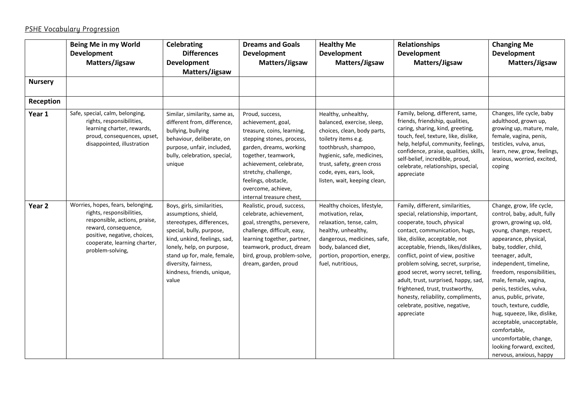## PSHE Vocabulary Progression

|                   | Being Me in my World                                                                                                                                                                                        | <b>Celebrating</b>                                                                                                                                                                                                                                                     | <b>Dreams and Goals</b>                                                                                                                                                                                                                                                        | <b>Healthy Me</b>                                                                                                                                                                                                                                      | Relationships                                                                                                                                                                                                                                                                                                                                                                                                                                                                                     | <b>Changing Me</b>                                                                                                                                                                                                                                                                                                                                                                                                                                                                                                    |
|-------------------|-------------------------------------------------------------------------------------------------------------------------------------------------------------------------------------------------------------|------------------------------------------------------------------------------------------------------------------------------------------------------------------------------------------------------------------------------------------------------------------------|--------------------------------------------------------------------------------------------------------------------------------------------------------------------------------------------------------------------------------------------------------------------------------|--------------------------------------------------------------------------------------------------------------------------------------------------------------------------------------------------------------------------------------------------------|---------------------------------------------------------------------------------------------------------------------------------------------------------------------------------------------------------------------------------------------------------------------------------------------------------------------------------------------------------------------------------------------------------------------------------------------------------------------------------------------------|-----------------------------------------------------------------------------------------------------------------------------------------------------------------------------------------------------------------------------------------------------------------------------------------------------------------------------------------------------------------------------------------------------------------------------------------------------------------------------------------------------------------------|
|                   | <b>Development</b>                                                                                                                                                                                          | <b>Differences</b>                                                                                                                                                                                                                                                     | <b>Development</b>                                                                                                                                                                                                                                                             | <b>Development</b>                                                                                                                                                                                                                                     | Development                                                                                                                                                                                                                                                                                                                                                                                                                                                                                       | <b>Development</b>                                                                                                                                                                                                                                                                                                                                                                                                                                                                                                    |
|                   | Matters/Jigsaw                                                                                                                                                                                              | <b>Development</b>                                                                                                                                                                                                                                                     | Matters/Jigsaw                                                                                                                                                                                                                                                                 | Matters/Jigsaw                                                                                                                                                                                                                                         | Matters/Jigsaw                                                                                                                                                                                                                                                                                                                                                                                                                                                                                    | Matters/Jigsaw                                                                                                                                                                                                                                                                                                                                                                                                                                                                                                        |
|                   |                                                                                                                                                                                                             | Matters/Jigsaw                                                                                                                                                                                                                                                         |                                                                                                                                                                                                                                                                                |                                                                                                                                                                                                                                                        |                                                                                                                                                                                                                                                                                                                                                                                                                                                                                                   |                                                                                                                                                                                                                                                                                                                                                                                                                                                                                                                       |
| <b>Nursery</b>    |                                                                                                                                                                                                             |                                                                                                                                                                                                                                                                        |                                                                                                                                                                                                                                                                                |                                                                                                                                                                                                                                                        |                                                                                                                                                                                                                                                                                                                                                                                                                                                                                                   |                                                                                                                                                                                                                                                                                                                                                                                                                                                                                                                       |
| Reception         |                                                                                                                                                                                                             |                                                                                                                                                                                                                                                                        |                                                                                                                                                                                                                                                                                |                                                                                                                                                                                                                                                        |                                                                                                                                                                                                                                                                                                                                                                                                                                                                                                   |                                                                                                                                                                                                                                                                                                                                                                                                                                                                                                                       |
| Year 1            | Safe, special, calm, belonging,<br>rights, responsibilities,<br>learning charter, rewards,<br>proud, consequences, upset,<br>disappointed, illustration                                                     | Similar, similarity, same as,<br>different from, difference,<br>bullying, bullying<br>behaviour, deliberate, on<br>purpose, unfair, included,<br>bully, celebration, special,<br>unique                                                                                | Proud, success,<br>achievement, goal,<br>treasure, coins, learning,<br>stepping stones, process,<br>garden, dreams, working<br>together, teamwork,<br>achievement, celebrate,<br>stretchy, challenge,<br>feelings, obstacle,<br>overcome, achieve,<br>internal treasure chest, | Healthy, unhealthy,<br>balanced, exercise, sleep,<br>choices, clean, body parts,<br>toiletry items e.g.<br>toothbrush, shampoo,<br>hygienic, safe, medicines,<br>trust, safety, green cross<br>code, eyes, ears, look,<br>listen, wait, keeping clean, | Family, belong, different, same,<br>friends, friendship, qualities,<br>caring, sharing, kind, greeting,<br>touch, feel, texture, like, dislike,<br>help, helpful, community, feelings,<br>confidence, praise, qualities, skills,<br>self-belief, incredible, proud,<br>celebrate, relationships, special,<br>appreciate                                                                                                                                                                           | Changes, life cycle, baby<br>adulthood, grown up,<br>growing up, mature, male,<br>female, vagina, penis,<br>testicles, vulva, anus,<br>learn, new, grow, feelings,<br>anxious, worried, excited,<br>coping                                                                                                                                                                                                                                                                                                            |
| Year <sub>2</sub> | Worries, hopes, fears, belonging,<br>rights, responsibilities,<br>responsible, actions, praise,<br>reward, consequence,<br>positive, negative, choices,<br>cooperate, learning charter,<br>problem-solving, | Boys, girls, similarities,<br>assumptions, shield,<br>stereotypes, differences,<br>special, bully, purpose,<br>kind, unkind, feelings, sad,<br>lonely, help, on purpose,<br>stand up for, male, female,<br>diversity, fairness,<br>kindness, friends, unique,<br>value | Realistic, proud, success,<br>celebrate, achievement,<br>goal, strengths, persevere,<br>challenge, difficult, easy,<br>learning together, partner,<br>teamwork, product, dream<br>bird, group, problem-solve,<br>dream, garden, proud                                          | Healthy choices, lifestyle,<br>motivation, relax,<br>relaxation, tense, calm,<br>healthy, unhealthy,<br>dangerous, medicines, safe,<br>body, balanced diet,<br>portion, proportion, energy,<br>fuel, nutritious,                                       | Family, different, similarities,<br>special, relationship, important,<br>cooperate, touch, physical<br>contact, communication, hugs,<br>like, dislike, acceptable, not<br>acceptable, friends, likes/dislikes,<br>conflict, point of view, positive<br>problem solving, secret, surprise,<br>good secret, worry secret, telling,<br>adult, trust, surprised, happy, sad,<br>frightened, trust, trustworthy,<br>honesty, reliability, compliments,<br>celebrate, positive, negative,<br>appreciate | Change, grow, life cycle,<br>control, baby, adult, fully<br>grown, growing up, old,<br>young, change, respect,<br>appearance, physical,<br>baby, toddler, child,<br>teenager, adult,<br>independent, timeline,<br>freedom, responsibilities,<br>male, female, vagina,<br>penis, testicles, vulva,<br>anus, public, private,<br>touch, texture, cuddle,<br>hug, squeeze, like, dislike,<br>acceptable, unacceptable,<br>comfortable,<br>uncomfortable, change,<br>looking forward, excited,<br>nervous, anxious, happy |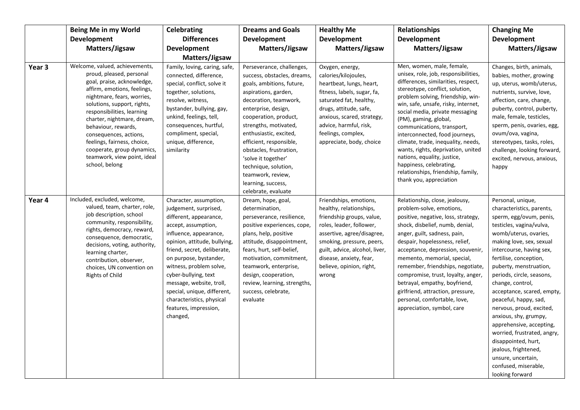|        | Being Me in my World                                                                                                                                                                                                                                                                                                                                                                                            | <b>Celebrating</b>                                                                                                                                                                                                                                                                                                                                                                                  | <b>Dreams and Goals</b>                                                                                                                                                                                                                                                                                                                                                                                          | <b>Healthy Me</b>                                                                                                                                                                                                                                                       | <b>Relationships</b>                                                                                                                                                                                                                                                                                                                                                                                                                                                                                                                                       | <b>Changing Me</b>                                                                                                                                                                                                                                                                                                                                                                                                                                                                                                                                                                 |
|--------|-----------------------------------------------------------------------------------------------------------------------------------------------------------------------------------------------------------------------------------------------------------------------------------------------------------------------------------------------------------------------------------------------------------------|-----------------------------------------------------------------------------------------------------------------------------------------------------------------------------------------------------------------------------------------------------------------------------------------------------------------------------------------------------------------------------------------------------|------------------------------------------------------------------------------------------------------------------------------------------------------------------------------------------------------------------------------------------------------------------------------------------------------------------------------------------------------------------------------------------------------------------|-------------------------------------------------------------------------------------------------------------------------------------------------------------------------------------------------------------------------------------------------------------------------|------------------------------------------------------------------------------------------------------------------------------------------------------------------------------------------------------------------------------------------------------------------------------------------------------------------------------------------------------------------------------------------------------------------------------------------------------------------------------------------------------------------------------------------------------------|------------------------------------------------------------------------------------------------------------------------------------------------------------------------------------------------------------------------------------------------------------------------------------------------------------------------------------------------------------------------------------------------------------------------------------------------------------------------------------------------------------------------------------------------------------------------------------|
|        | <b>Development</b>                                                                                                                                                                                                                                                                                                                                                                                              | <b>Differences</b>                                                                                                                                                                                                                                                                                                                                                                                  | <b>Development</b>                                                                                                                                                                                                                                                                                                                                                                                               | <b>Development</b>                                                                                                                                                                                                                                                      | <b>Development</b>                                                                                                                                                                                                                                                                                                                                                                                                                                                                                                                                         | <b>Development</b>                                                                                                                                                                                                                                                                                                                                                                                                                                                                                                                                                                 |
|        | Matters/Jigsaw                                                                                                                                                                                                                                                                                                                                                                                                  | <b>Development</b>                                                                                                                                                                                                                                                                                                                                                                                  | Matters/Jigsaw                                                                                                                                                                                                                                                                                                                                                                                                   | Matters/Jigsaw                                                                                                                                                                                                                                                          | Matters/Jigsaw                                                                                                                                                                                                                                                                                                                                                                                                                                                                                                                                             | Matters/Jigsaw                                                                                                                                                                                                                                                                                                                                                                                                                                                                                                                                                                     |
|        |                                                                                                                                                                                                                                                                                                                                                                                                                 | Matters/Jigsaw                                                                                                                                                                                                                                                                                                                                                                                      |                                                                                                                                                                                                                                                                                                                                                                                                                  |                                                                                                                                                                                                                                                                         |                                                                                                                                                                                                                                                                                                                                                                                                                                                                                                                                                            |                                                                                                                                                                                                                                                                                                                                                                                                                                                                                                                                                                                    |
| Year 3 | Welcome, valued, achievements,<br>proud, pleased, personal<br>goal, praise, acknowledge,<br>affirm, emotions, feelings,<br>nightmare, fears, worries,<br>solutions, support, rights,<br>responsibilities, learning<br>charter, nightmare, dream,<br>behaviour, rewards,<br>consequences, actions,<br>feelings, fairness, choice,<br>cooperate, group dynamics,<br>teamwork, view point, ideal<br>school, belong | Family, loving, caring, safe,<br>connected, difference,<br>special, conflict, solve it<br>together, solutions,<br>resolve, witness,<br>bystander, bullying, gay,<br>unkind, feelings, tell,<br>consequences, hurtful,<br>compliment, special,<br>unique, difference,<br>similarity                                                                                                                  | Perseverance, challenges,<br>success, obstacles, dreams,<br>goals, ambitions, future,<br>aspirations, garden,<br>decoration, teamwork,<br>enterprise, design,<br>cooperation, product,<br>strengths, motivated,<br>enthusiastic, excited,<br>efficient, responsible,<br>obstacles, frustration,<br>'solve it together'<br>technique, solution,<br>teamwork, review,<br>learning, success,<br>celebrate, evaluate | Oxygen, energy,<br>calories/kilojoules,<br>heartbeat, lungs, heart,<br>fitness, labels, sugar, fa,<br>saturated fat, healthy,<br>drugs, attitude, safe,<br>anxious, scared, strategy,<br>advice, harmful, risk,<br>feelings, complex,<br>appreciate, body, choice       | Men, women, male, female,<br>unisex, role, job, responsibilities,<br>differences, similarities, respect,<br>stereotype, conflict, solution,<br>problem solving, friendship, win-<br>win, safe, unsafe, risky, internet,<br>social media, private messaging<br>(PM), gaming, global,<br>communications, transport,<br>interconnected, food journeys,<br>climate, trade, inequality, needs,<br>wants, rights, deprivation, united<br>nations, equality, justice,<br>happiness, celebrating,<br>relationships, friendship, family,<br>thank you, appreciation | Changes, birth, animals,<br>babies, mother, growing<br>up, uterus, womb/uterus,<br>nutrients, survive, love,<br>affection, care, change,<br>puberty, control, puberty,<br>male, female, testicles,<br>sperm, penis, ovaries, egg,<br>ovum/ova, vagina,<br>stereotypes, tasks, roles,<br>challenge, looking forward,<br>excited, nervous, anxious,<br>happy                                                                                                                                                                                                                         |
| Year 4 | Included, excluded, welcome,<br>valued, team, charter, role,<br>job description, school<br>community, responsibility,<br>rights, democracy, reward,<br>consequence, democratic,<br>decisions, voting, authority,<br>learning charter,<br>contribution, observer,<br>choices, UN convention on<br><b>Rights of Child</b>                                                                                         | Character, assumption,<br>judgement, surprised,<br>different, appearance,<br>accept, assumption,<br>influence, appearance,<br>opinion, attitude, bullying,<br>friend, secret, deliberate,<br>on purpose, bystander,<br>witness, problem solve,<br>cyber-bullying, text<br>message, website, troll,<br>special, unique, different,<br>characteristics, physical<br>features, impression,<br>changed, | Dream, hope, goal,<br>determination,<br>perseverance, resilience,<br>positive experiences, cope,<br>plans, help, positive<br>attitude, disappointment,<br>fears, hurt, self-belief,<br>motivation, commitment,<br>teamwork, enterprise,<br>design, cooperation,<br>review, learning, strengths,<br>success, celebrate,<br>evaluate                                                                               | Friendships, emotions,<br>healthy, relationships,<br>friendship groups, value,<br>roles, leader, follower,<br>assertive, agree/disagree,<br>smoking, pressure, peers,<br>guilt, advice, alcohol, liver,<br>disease, anxiety, fear,<br>believe, opinion, right,<br>wrong | Relationship, close, jealousy,<br>problem-solve, emotions,<br>positive, negative, loss, strategy,<br>shock, disbelief, numb, denial,<br>anger, guilt, sadness, pain,<br>despair, hopelessness, relief,<br>acceptance, depression, souvenir,<br>memento, memorial, special,<br>remember, friendships, negotiate,<br>compromise, trust, loyalty, anger,<br>betrayal, empathy, boyfriend,<br>girlfriend, attraction, pressure,<br>personal, comfortable, love,<br>appreciation, symbol, care                                                                  | Personal, unique,<br>characteristics, parents,<br>sperm, egg/ovum, penis,<br>testicles, vagina/vulva,<br>womb/uterus, ovaries,<br>making love, sex, sexual<br>intercourse, having sex,<br>fertilise, conception,<br>puberty, menstruation,<br>periods, circle, seasons,<br>change, control,<br>acceptance, scared, empty,<br>peaceful, happy, sad,<br>nervous, proud, excited,<br>anxious, shy, grumpy,<br>apprehensive, accepting,<br>worried, frustrated, angry,<br>disappointed, hurt,<br>jealous, frightened,<br>unsure, uncertain,<br>confused, miserable,<br>looking forward |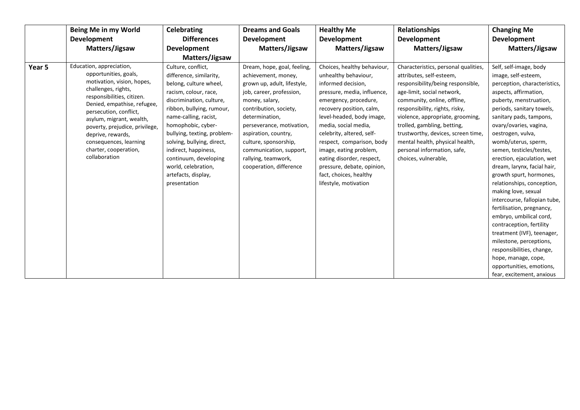|        | Being Me in my World                                                                                                                                                                                                                                                                                                                                 | <b>Celebrating</b>                                                                                                                                                                                                                                                                                                                                                                   | <b>Dreams and Goals</b>                                                                                                                                                                                                                                                                                                                | <b>Healthy Me</b>                                                                                                                                                                                                                                                                                                                                                                                                    | Relationships                                                                                                                                                                                                                                                                                                                                                                                           | <b>Changing Me</b>                                                                                                                                                                                                                                                                                                                                                                                                                                                                                                                                                                                                                                                                                                                |
|--------|------------------------------------------------------------------------------------------------------------------------------------------------------------------------------------------------------------------------------------------------------------------------------------------------------------------------------------------------------|--------------------------------------------------------------------------------------------------------------------------------------------------------------------------------------------------------------------------------------------------------------------------------------------------------------------------------------------------------------------------------------|----------------------------------------------------------------------------------------------------------------------------------------------------------------------------------------------------------------------------------------------------------------------------------------------------------------------------------------|----------------------------------------------------------------------------------------------------------------------------------------------------------------------------------------------------------------------------------------------------------------------------------------------------------------------------------------------------------------------------------------------------------------------|---------------------------------------------------------------------------------------------------------------------------------------------------------------------------------------------------------------------------------------------------------------------------------------------------------------------------------------------------------------------------------------------------------|-----------------------------------------------------------------------------------------------------------------------------------------------------------------------------------------------------------------------------------------------------------------------------------------------------------------------------------------------------------------------------------------------------------------------------------------------------------------------------------------------------------------------------------------------------------------------------------------------------------------------------------------------------------------------------------------------------------------------------------|
|        | <b>Development</b>                                                                                                                                                                                                                                                                                                                                   | <b>Differences</b>                                                                                                                                                                                                                                                                                                                                                                   | <b>Development</b>                                                                                                                                                                                                                                                                                                                     | <b>Development</b>                                                                                                                                                                                                                                                                                                                                                                                                   | <b>Development</b>                                                                                                                                                                                                                                                                                                                                                                                      | <b>Development</b>                                                                                                                                                                                                                                                                                                                                                                                                                                                                                                                                                                                                                                                                                                                |
|        | Matters/Jigsaw                                                                                                                                                                                                                                                                                                                                       | <b>Development</b>                                                                                                                                                                                                                                                                                                                                                                   | Matters/Jigsaw                                                                                                                                                                                                                                                                                                                         | Matters/Jigsaw                                                                                                                                                                                                                                                                                                                                                                                                       | Matters/Jigsaw                                                                                                                                                                                                                                                                                                                                                                                          | Matters/Jigsaw                                                                                                                                                                                                                                                                                                                                                                                                                                                                                                                                                                                                                                                                                                                    |
|        |                                                                                                                                                                                                                                                                                                                                                      | Matters/Jigsaw                                                                                                                                                                                                                                                                                                                                                                       |                                                                                                                                                                                                                                                                                                                                        |                                                                                                                                                                                                                                                                                                                                                                                                                      |                                                                                                                                                                                                                                                                                                                                                                                                         |                                                                                                                                                                                                                                                                                                                                                                                                                                                                                                                                                                                                                                                                                                                                   |
| Year 5 | Education, appreciation,<br>opportunities, goals,<br>motivation, vision, hopes,<br>challenges, rights,<br>responsibilities, citizen.<br>Denied, empathise, refugee,<br>persecution, conflict,<br>asylum, migrant, wealth,<br>poverty, prejudice, privilege,<br>deprive, rewards,<br>consequences, learning<br>charter, cooperation,<br>collaboration | Culture, conflict,<br>difference, similarity,<br>belong, culture wheel,<br>racism, colour, race,<br>discrimination, culture,<br>ribbon, bullying, rumour,<br>name-calling, racist,<br>homophobic, cyber-<br>bullying, texting, problem-<br>solving, bullying, direct,<br>indirect, happiness,<br>continuum, developing<br>world, celebration,<br>artefacts, display,<br>presentation | Dream, hope, goal, feeling,<br>achievement, money,<br>grown up, adult, lifestyle,<br>job, career, profession,<br>money, salary,<br>contribution, society,<br>determination,<br>perseverance, motivation,<br>aspiration, country,<br>culture, sponsorship,<br>communication, support,<br>rallying, teamwork,<br>cooperation, difference | Choices, healthy behaviour,<br>unhealthy behaviour,<br>informed decision,<br>pressure, media, influence,<br>emergency, procedure,<br>recovery position, calm,<br>level-headed, body image,<br>media, social media,<br>celebrity, altered, self-<br>respect, comparison, body<br>image, eating problem,<br>eating disorder, respect,<br>pressure, debate, opinion,<br>fact, choices, healthy<br>lifestyle, motivation | Characteristics, personal qualities,<br>attributes, self-esteem,<br>responsibility/being responsible,<br>age-limit, social network,<br>community, online, offline,<br>responsibility, rights, risky,<br>violence, appropriate, grooming,<br>trolled, gambling, betting,<br>trustworthy, devices, screen time,<br>mental health, physical health,<br>personal information, safe,<br>choices, vulnerable, | Self, self-image, body<br>image, self-esteem,<br>perception, characteristics,<br>aspects, affirmation,<br>puberty, menstruation,<br>periods, sanitary towels,<br>sanitary pads, tampons,<br>ovary/ovaries, vagina,<br>oestrogen, vulva,<br>womb/uterus, sperm,<br>semen, testicles/testes,<br>erection, ejaculation, wet<br>dream, larynx, facial hair,<br>growth spurt, hormones,<br>relationships, conception,<br>making love, sexual<br>intercourse, fallopian tube,<br>fertilisation, pregnancy,<br>embryo, umbilical cord,<br>contraception, fertility<br>treatment (IVF), teenager,<br>milestone, perceptions,<br>responsibilities, change,<br>hope, manage, cope,<br>opportunities, emotions,<br>fear, excitement, anxious |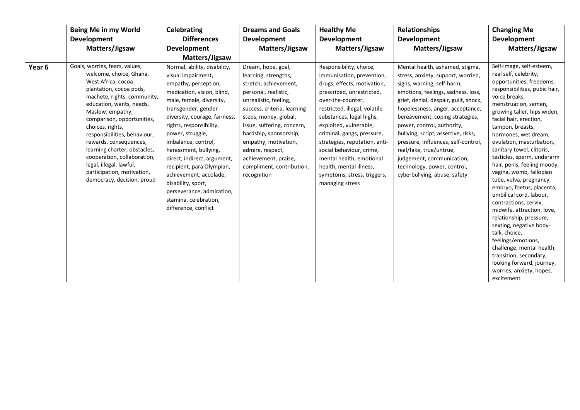|        | Being Me in my World                                                                                                                                                                                                                                                                                                                                                                                                                                        | <b>Celebrating</b>                                                                                                                                                                                                                                                                                                                                                                                                                                                                    | <b>Dreams and Goals</b>                                                                                                                                                                                                                                                                                                                              | <b>Healthy Me</b>                                                                                                                                                                                                                                                                                                                                                                                                                | <b>Relationships</b>                                                                                                                                                                                                                                                                                                                                                                                                                                                                         | <b>Changing Me</b>                                                                                                                                                                                                                                                                                                                                                                                                                                                                                                                                                                                                                                                                                                                                                                 |
|--------|-------------------------------------------------------------------------------------------------------------------------------------------------------------------------------------------------------------------------------------------------------------------------------------------------------------------------------------------------------------------------------------------------------------------------------------------------------------|---------------------------------------------------------------------------------------------------------------------------------------------------------------------------------------------------------------------------------------------------------------------------------------------------------------------------------------------------------------------------------------------------------------------------------------------------------------------------------------|------------------------------------------------------------------------------------------------------------------------------------------------------------------------------------------------------------------------------------------------------------------------------------------------------------------------------------------------------|----------------------------------------------------------------------------------------------------------------------------------------------------------------------------------------------------------------------------------------------------------------------------------------------------------------------------------------------------------------------------------------------------------------------------------|----------------------------------------------------------------------------------------------------------------------------------------------------------------------------------------------------------------------------------------------------------------------------------------------------------------------------------------------------------------------------------------------------------------------------------------------------------------------------------------------|------------------------------------------------------------------------------------------------------------------------------------------------------------------------------------------------------------------------------------------------------------------------------------------------------------------------------------------------------------------------------------------------------------------------------------------------------------------------------------------------------------------------------------------------------------------------------------------------------------------------------------------------------------------------------------------------------------------------------------------------------------------------------------|
|        | <b>Development</b><br>Matters/Jigsaw                                                                                                                                                                                                                                                                                                                                                                                                                        | <b>Differences</b><br><b>Development</b>                                                                                                                                                                                                                                                                                                                                                                                                                                              | <b>Development</b><br>Matters/Jigsaw                                                                                                                                                                                                                                                                                                                 | <b>Development</b><br>Matters/Jigsaw                                                                                                                                                                                                                                                                                                                                                                                             | <b>Development</b><br>Matters/Jigsaw                                                                                                                                                                                                                                                                                                                                                                                                                                                         | <b>Development</b><br>Matters/Jigsaw                                                                                                                                                                                                                                                                                                                                                                                                                                                                                                                                                                                                                                                                                                                                               |
|        |                                                                                                                                                                                                                                                                                                                                                                                                                                                             | Matters/Jigsaw                                                                                                                                                                                                                                                                                                                                                                                                                                                                        |                                                                                                                                                                                                                                                                                                                                                      |                                                                                                                                                                                                                                                                                                                                                                                                                                  |                                                                                                                                                                                                                                                                                                                                                                                                                                                                                              |                                                                                                                                                                                                                                                                                                                                                                                                                                                                                                                                                                                                                                                                                                                                                                                    |
| Year 6 | Goals, worries, fears, values,<br>welcome, choice, Ghana,<br>West Africa, cocoa<br>plantation, cocoa pods,<br>machete, rights, community,<br>education, wants, needs,<br>Maslow, empathy,<br>comparison, opportunities,<br>choices, rights,<br>responsibilities, behaviour,<br>rewards, consequences,<br>learning charter, obstacles,<br>cooperation, collaboration,<br>legal, illegal, lawful,<br>participation, motivation,<br>democracy, decision, proud | Normal, ability, disability,<br>visual impairment,<br>empathy, perception,<br>medication, vision, blind,<br>male, female, diversity,<br>transgender, gender<br>diversity, courage, fairness,<br>rights, responsibility,<br>power, struggle,<br>imbalance, control,<br>harassment, bullying,<br>direct, indirect, argument,<br>recipient, para Olympian,<br>achievement, accolade,<br>disability, sport,<br>perseverance, admiration,<br>stamina, celebration,<br>difference, conflict | Dream, hope, goal,<br>learning, strengths,<br>stretch, achievement,<br>personal, realistic,<br>unrealistic, feeling,<br>success, criteria, learning<br>steps, money, global,<br>issue, suffering, concern,<br>hardship, sponsorship,<br>empathy, motivation,<br>admire, respect,<br>achievement, praise,<br>compliment, contribution,<br>recognition | Responsibility, choice,<br>immunisation, prevention,<br>drugs, effects, motivation,<br>prescribed, unrestricted,<br>over-the-counter,<br>restricted, illegal, volatile<br>substances, legal highs,<br>exploited, vulnerable,<br>criminal, gangs, pressure,<br>strategies, reputation, anti-<br>social behaviour, crime,<br>mental health, emotional<br>health, mental illness,<br>symptoms, stress, triggers,<br>managing stress | Mental health, ashamed, stigma,<br>stress, anxiety, support, worried,<br>signs, warning, self-harm,<br>emotions, feelings, sadness, loss,<br>grief, denial, despair, guilt, shock,<br>hopelessness, anger, acceptance,<br>bereavement, coping strategies,<br>power, control, authority,<br>bullying, script, assertive, risks,<br>pressure, influences, self-control,<br>real/fake, true/untrue,<br>judgement, communication,<br>technology, power, control,<br>cyberbullying, abuse, safety | Self-image, self-esteem,<br>real self, celebrity,<br>opportunities, freedoms,<br>responsibilities, pubic hair,<br>voice breaks,<br>menstruation, semen,<br>growing taller, hips widen,<br>facial hair, erection,<br>tampon, breasts,<br>hormones, wet dream,<br>ovulation, masturbation,<br>sanitary towel, clitoris,<br>testicles, sperm, underarm<br>hair, penis, feeling moody,<br>vagina, womb, fallopian<br>tube, vulva, pregnancy,<br>embryo, foetus, placenta,<br>umbilical cord, labour,<br>contractions, cervix,<br>midwife, attraction, love,<br>relationship, pressure,<br>sexting, negative body-<br>talk, choice,<br>feelings/emotions,<br>challenge, mental health,<br>transition, secondary,<br>looking forward, journey,<br>worries, anxiety, hopes,<br>excitement |